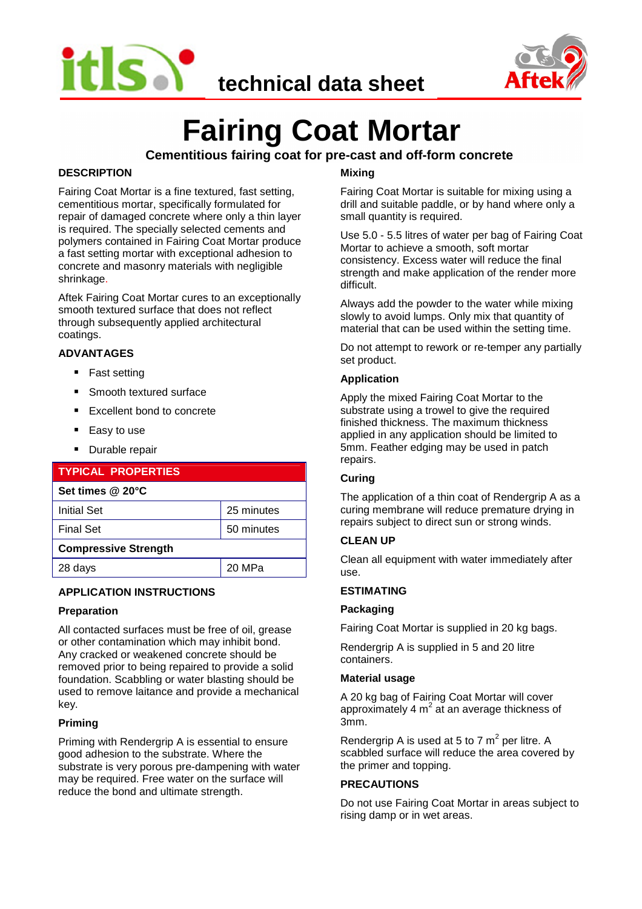



# **Fairing Coat Mortar**

## **Cementitious fairing coat for pre-cast and off-form concrete**

#### **DESCRIPTION**

Fairing Coat Mortar is a fine textured, fast setting, cementitious mortar, specifically formulated for repair of damaged concrete where only a thin layer is required. The specially selected cements and polymers contained in Fairing Coat Mortar produce a fast setting mortar with exceptional adhesion to concrete and masonry materials with negligible shrinkage.

Aftek Fairing Coat Mortar cures to an exceptionally smooth textured surface that does not reflect through subsequently applied architectural coatings.

#### **ADVANTAGES**

- Fast setting
- Smooth textured surface
- Excellent bond to concrete
- Easy to use
- Durable repair

| <b>TYPICAL PROPERTIES</b>   |            |  |
|-----------------------------|------------|--|
| Set times @ 20°C            |            |  |
| <b>Initial Set</b>          | 25 minutes |  |
| <b>Final Set</b>            | 50 minutes |  |
| <b>Compressive Strength</b> |            |  |
| 28 days                     | 20 MPa     |  |
|                             |            |  |

#### **APPLICATION INSTRUCTIONS**

#### **Preparation**

All contacted surfaces must be free of oil, grease or other contamination which may inhibit bond. Any cracked or weakened concrete should be removed prior to being repaired to provide a solid foundation. Scabbling or water blasting should be used to remove laitance and provide a mechanical key.

#### **Priming**

Priming with Rendergrip A is essential to ensure good adhesion to the substrate. Where the substrate is very porous pre-dampening with water may be required. Free water on the surface will reduce the bond and ultimate strength.

### **Mixing**

Fairing Coat Mortar is suitable for mixing using a drill and suitable paddle, or by hand where only a small quantity is required.

Use 5.0 - 5.5 litres of water per bag of Fairing Coat Mortar to achieve a smooth, soft mortar consistency. Excess water will reduce the final strength and make application of the render more difficult.

Always add the powder to the water while mixing slowly to avoid lumps. Only mix that quantity of material that can be used within the setting time.

Do not attempt to rework or re-temper any partially set product.

#### **Application**

Apply the mixed Fairing Coat Mortar to the substrate using a trowel to give the required finished thickness. The maximum thickness applied in any application should be limited to 5mm. Feather edging may be used in patch repairs.

#### **Curing**

The application of a thin coat of Rendergrip A as a curing membrane will reduce premature drying in repairs subject to direct sun or strong winds.

#### **CLEAN UP**

Clean all equipment with water immediately after use.

#### **ESTIMATING**

#### **Packaging**

Fairing Coat Mortar is supplied in 20 kg bags.

Rendergrip A is supplied in 5 and 20 litre containers.

#### **Material usage**

A 20 kg bag of Fairing Coat Mortar will cover approximately 4  $\textsf{m}^{2}$  at an average thickness of 3mm.

Rendergrip A is used at 5 to 7  $\textsf{m}^{2}$  per litre. A scabbled surface will reduce the area covered by the primer and topping.

#### **PRECAUTIONS**

Do not use Fairing Coat Mortar in areas subject to rising damp or in wet areas.